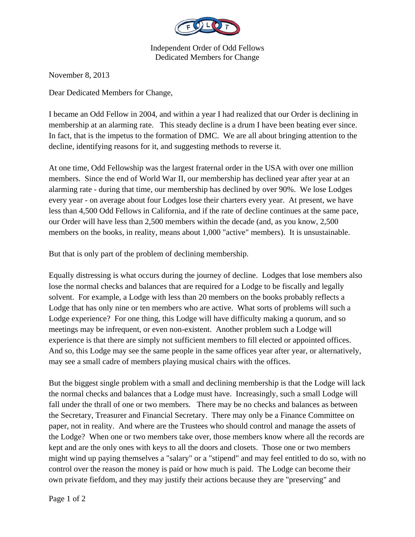

Independent Order of Odd Fellows Dedicated Members for Change

November 8, 2013

Dear Dedicated Members for Change,

I became an Odd Fellow in 2004, and within a year I had realized that our Order is declining in membership at an alarming rate. This steady decline is a drum I have been beating ever since. In fact, that is the impetus to the formation of DMC. We are all about bringing attention to the decline, identifying reasons for it, and suggesting methods to reverse it.

At one time, Odd Fellowship was the largest fraternal order in the USA with over one million members. Since the end of World War II, our membership has declined year after year at an alarming rate - during that time, our membership has declined by over 90%. We lose Lodges every year - on average about four Lodges lose their charters every year. At present, we have less than 4,500 Odd Fellows in California, and if the rate of decline continues at the same pace, our Order will have less than 2,500 members within the decade (and, as you know, 2,500 members on the books, in reality, means about 1,000 "active" members). It is unsustainable.

But that is only part of the problem of declining membership.

Equally distressing is what occurs during the journey of decline. Lodges that lose members also lose the normal checks and balances that are required for a Lodge to be fiscally and legally solvent. For example, a Lodge with less than 20 members on the books probably reflects a Lodge that has only nine or ten members who are active. What sorts of problems will such a Lodge experience? For one thing, this Lodge will have difficulty making a quorum, and so meetings may be infrequent, or even non-existent. Another problem such a Lodge will experience is that there are simply not sufficient members to fill elected or appointed offices. And so, this Lodge may see the same people in the same offices year after year, or alternatively, may see a small cadre of members playing musical chairs with the offices.

But the biggest single problem with a small and declining membership is that the Lodge will lack the normal checks and balances that a Lodge must have. Increasingly, such a small Lodge will fall under the thrall of one or two members. There may be no checks and balances as between the Secretary, Treasurer and Financial Secretary. There may only be a Finance Committee on paper, not in reality. And where are the Trustees who should control and manage the assets of the Lodge? When one or two members take over, those members know where all the records are kept and are the only ones with keys to all the doors and closets. Those one or two members might wind up paying themselves a "salary" or a "stipend" and may feel entitled to do so, with no control over the reason the money is paid or how much is paid. The Lodge can become their own private fiefdom, and they may justify their actions because they are "preserving" and